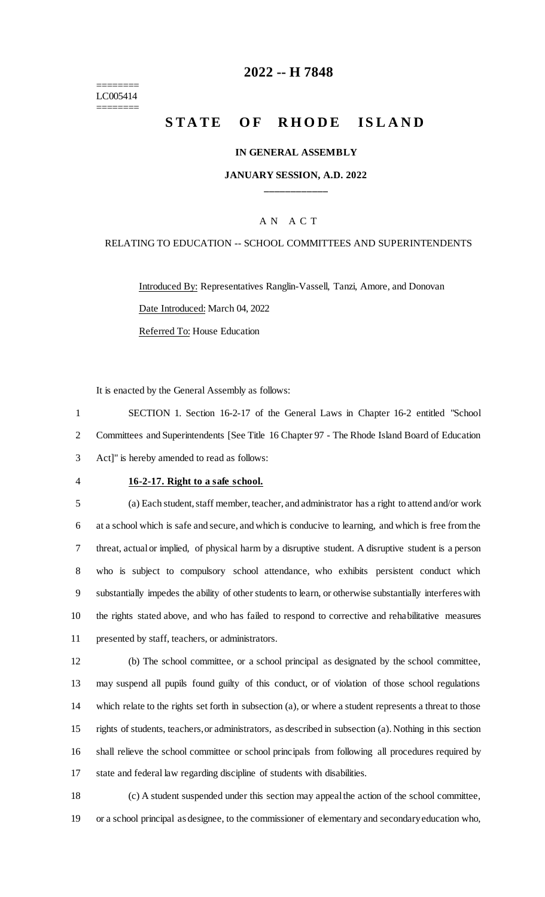======== LC005414 ========

# **-- H 7848**

# **STATE OF RHODE ISLAND**

#### **IN GENERAL ASSEMBLY**

### **JANUARY SESSION, A.D. 2022 \_\_\_\_\_\_\_\_\_\_\_\_**

### A N A C T

#### RELATING TO EDUCATION -- SCHOOL COMMITTEES AND SUPERINTENDENTS

Introduced By: Representatives Ranglin-Vassell, Tanzi, Amore, and Donovan Date Introduced: March 04, 2022 Referred To: House Education

It is enacted by the General Assembly as follows:

 SECTION 1. Section 16-2-17 of the General Laws in Chapter 16-2 entitled "School Committees and Superintendents [See Title 16 Chapter 97 - The Rhode Island Board of Education Act]" is hereby amended to read as follows:

## **16-2-17. Right to a safe school.**

 (a) Each student, staff member, teacher, and administrator has a right to attend and/or work at a school which is safe and secure, and which is conducive to learning, and which is free from the threat, actual or implied, of physical harm by a disruptive student. A disruptive student is a person who is subject to compulsory school attendance, who exhibits persistent conduct which substantially impedes the ability of other students to learn, or otherwise substantially interferes with the rights stated above, and who has failed to respond to corrective and rehabilitative measures presented by staff, teachers, or administrators.

 (b) The school committee, or a school principal as designated by the school committee, may suspend all pupils found guilty of this conduct, or of violation of those school regulations which relate to the rights set forth in subsection (a), or where a student represents a threat to those rights of students, teachers, or administrators, as described in subsection (a). Nothing in this section shall relieve the school committee or school principals from following all procedures required by state and federal law regarding discipline of students with disabilities.

 (c) A student suspended under this section may appeal the action of the school committee, or a school principal as designee, to the commissioner of elementary and secondary education who,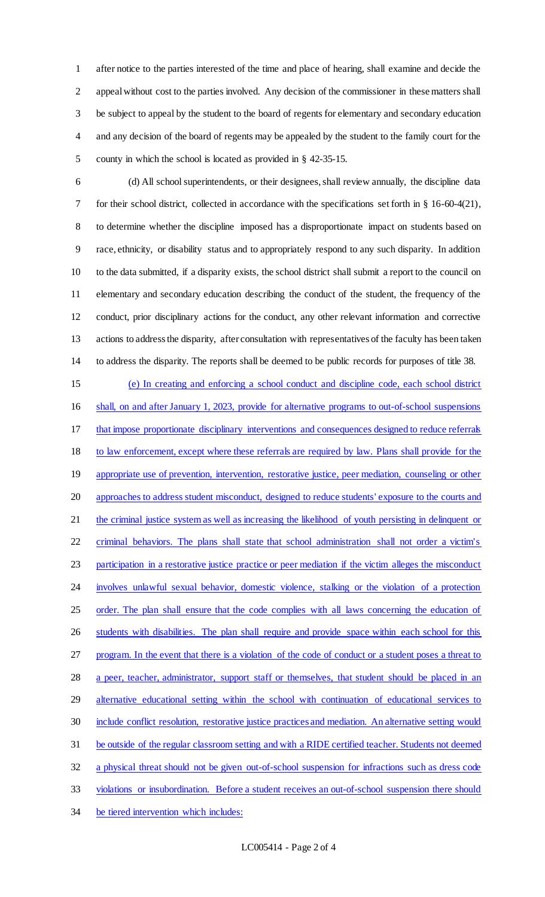after notice to the parties interested of the time and place of hearing, shall examine and decide the appeal without cost to the parties involved. Any decision of the commissioner in these matters shall be subject to appeal by the student to the board of regents for elementary and secondary education and any decision of the board of regents may be appealed by the student to the family court for the county in which the school is located as provided in § 42-35-15.

 (d) All school superintendents, or their designees, shall review annually, the discipline data for their school district, collected in accordance with the specifications set forth in § 16-60-4(21), to determine whether the discipline imposed has a disproportionate impact on students based on race, ethnicity, or disability status and to appropriately respond to any such disparity. In addition to the data submitted, if a disparity exists, the school district shall submit a report to the council on elementary and secondary education describing the conduct of the student, the frequency of the conduct, prior disciplinary actions for the conduct, any other relevant information and corrective actions to address the disparity, after consultation with representatives of the faculty has been taken to address the disparity. The reports shall be deemed to be public records for purposes of title 38.

 (e) In creating and enforcing a school conduct and discipline code, each school district shall, on and after January 1, 2023, provide for alternative programs to out-of-school suspensions that impose proportionate disciplinary interventions and consequences designed to reduce referrals to law enforcement, except where these referrals are required by law. Plans shall provide for the 19 appropriate use of prevention, intervention, restorative justice, peer mediation, counseling or other approaches to address student misconduct, designed to reduce students' exposure to the courts and the criminal justice system as well as increasing the likelihood of youth persisting in delinquent or criminal behaviors. The plans shall state that school administration shall not order a victim's participation in a restorative justice practice or peer mediation if the victim alleges the misconduct 24 involves unlawful sexual behavior, domestic violence, stalking or the violation of a protection 25 order. The plan shall ensure that the code complies with all laws concerning the education of 26 students with disabilities. The plan shall require and provide space within each school for this program. In the event that there is a violation of the code of conduct or a student poses a threat to 28 a peer, teacher, administrator, support staff or themselves, that student should be placed in an alternative educational setting within the school with continuation of educational services to include conflict resolution, restorative justice practices and mediation. An alternative setting would be outside of the regular classroom setting and with a RIDE certified teacher. Students not deemed a physical threat should not be given out-of-school suspension for infractions such as dress code violations or insubordination. Before a student receives an out-of-school suspension there should be tiered intervention which includes: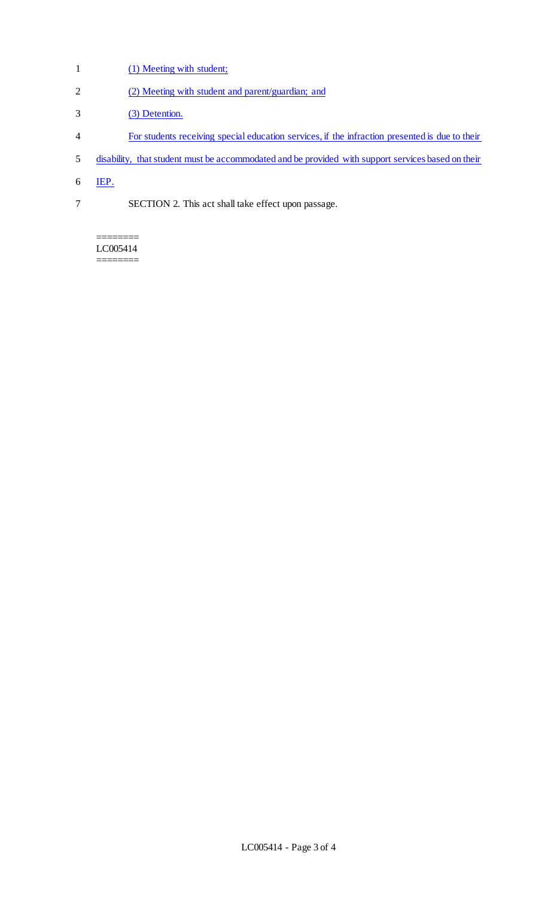- 1 (1) Meeting with student;
- 2 (2) Meeting with student and parent/guardian; and
- 3 (3) Detention.
- 4 For students receiving special education services, if the infraction presented is due to their
- 5 disability, that student must be accommodated and be provided with support services based on their
- 6 IEP.
- 7 SECTION 2. This act shall take effect upon passage.

======== LC005414 ========